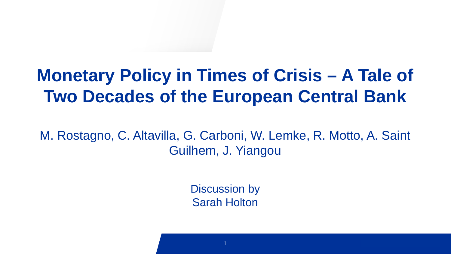## **Monetary Policy in Times of Crisis – A Tale of Two Decades of the European Central Bank**

M. Rostagno, C. Altavilla, G. Carboni, W. Lemke, R. Motto, A. Saint Guilhem, J. Yiangou

> Discussion by Sarah Holton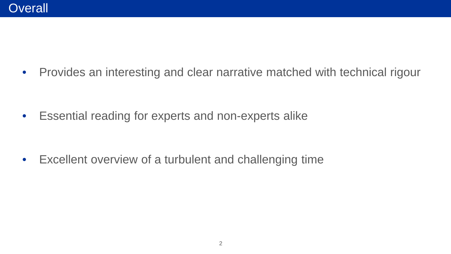• Provides an interesting and clear narrative matched with technical rigour

• Essential reading for experts and non-experts alike

• Excellent overview of a turbulent and challenging time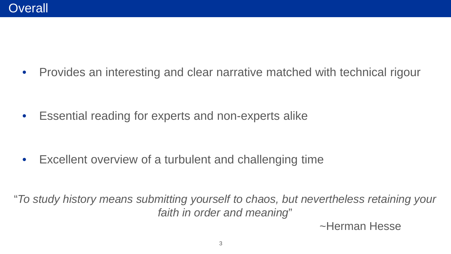• Provides an interesting and clear narrative matched with technical rigour

• Essential reading for experts and non-experts alike

• Excellent overview of a turbulent and challenging time

"*To study history means submitting yourself to chaos, but nevertheless retaining your faith in order and meaning*"

~Herman Hesse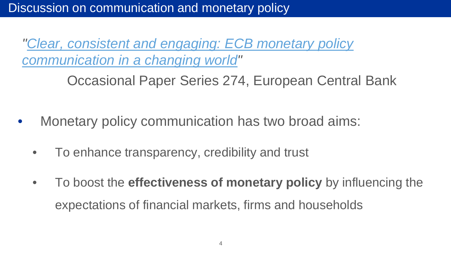*["Clear, consistent and engaging: ECB monetary policy](https://www.ecb.europa.eu/pub/pdf/scpops/ecb.op274%7E9aca14e6f6.en.pdf?aae9db95b9b780b85c4af2f393bc3556)  communication in a changing world"* 

Occasional Paper Series 274, European Central Bank

- Monetary policy communication has two broad aims:
	- To enhance transparency, credibility and trust
	- To boost the **effectiveness of monetary policy** by influencing the expectations of financial markets, firms and households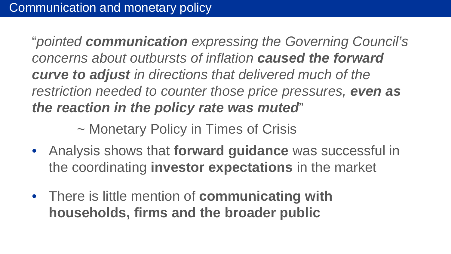"*pointed communication expressing the Governing Council's concerns about outbursts of inflation caused the forward curve to adjust in directions that delivered much of the restriction needed to counter those price pressures, even as the reaction in the policy rate was muted*"

~ Monetary Policy in Times of Crisis

- Analysis shows that **forward guidance** was successful in the coordinating **investor expectations** in the market
- There is little mention of **communicating with households, firms and the broader public**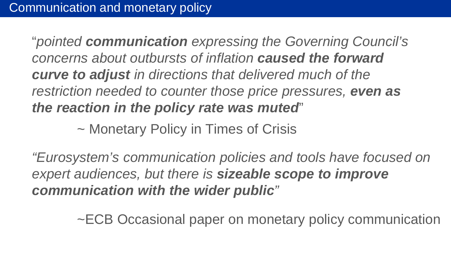"*pointed communication expressing the Governing Council's concerns about outbursts of inflation caused the forward curve to adjust in directions that delivered much of the restriction needed to counter those price pressures, even as the reaction in the policy rate was muted*"

~ Monetary Policy in Times of Crisis

•<br>"Furnsystem's communication policies and tools have focuse the cyclem coordinations in power can be concerned to improve<br>nart audiances but there is **sizeable scope to impro**v • There is little mention of **communicating with**  *"Eurosystem's communication policies and tools have focused on expert audiences, but there is sizeable scope to improve communication with the wider public"*

**ECR Occasional paper on monetary proportional** ~ECB Occasional paper on monetary policy communication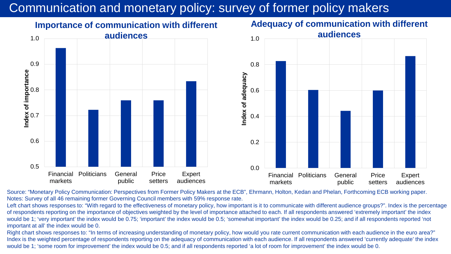## Communication and monetary policy: survey of former policy makers





Source: "Monetary Policy Communication: Perspectives from Former Policy Makers at the ECB", Ehrmann, Holton, Kedan and Phelan, Forthcoming ECB working paper. Notes: Survey of all 46 remaining former Governing Council members with 59% response rate.

Left chart shows responses to: "With regard to the effectiveness of monetary policy, how important is it to communicate with different audience groups?". Index is the percentage of respondents reporting on the importance of objectives weighted by the level of importance attached to each. If all respondents answered 'extremely important' the index would be 1; 'very important' the index would be 0.75; 'important' the index would be 0.5; 'somewhat important' the index would be 0.25; and if all respondents reported 'not important at all' the index would be 0.

would be 1; 'some room for improvement' the index would be 0.5; and if all respondents reported 'a lot of room for improvement' the index would be 0. Right chart shows responses to: "In terms of increasing understanding of monetary policy, how would you rate current communication with each audience in the euro area?" Index is the weighted percentage of respondents reporting on the adequacy of communication with each audience. If all respondents answered 'currently adequate' the index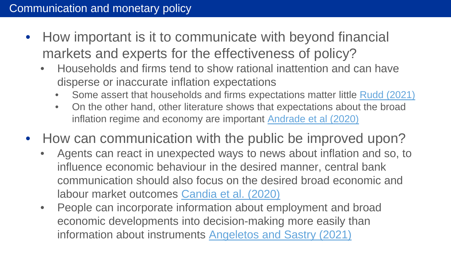- How important is it to communicate with beyond financial markets and experts for the effectiveness of policy?
	- Households and firms tend to show rational inattention and can have disperse or inaccurate inflation expectations
		- Some assert that households and firms expectations matter little [Rudd \(2021\)](https://www.federalreserve.gov/econres/feds/files/2021062pap.pdf)
		- On the other hand, other literature shows that expectations about the broad inflation regime and economy are important [Andrade et al \(2020\)](https://cepr.org/active/publications/discussion_papers/dp.php?dpno=14905)
- How can communication with the public be improved upon?
	- Agents can react in unexpected ways to news about inflation and so, to influence economic behaviour in the desired manner, central bank communication should also focus on the desired broad economic and labour market outcomes [Candia et al. \(2020\)](https://www.nber.org/papers/w27800)
	- People can incorporate information about employment and broad economic developments into decision-making more easily than information about instruments Angeletos [and Sastry \(2021\)](https://academic.oup.com/qje/article/136/4/2467/6039349?login=true)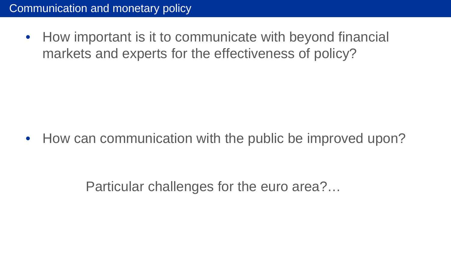• How important is it to communicate with beyond financial markets and experts for the effectiveness of policy?

• How can communication with the public be improved upon?

Darticular challenges for the euro area? lational original good of the ban Particular challenges for the euro area?...